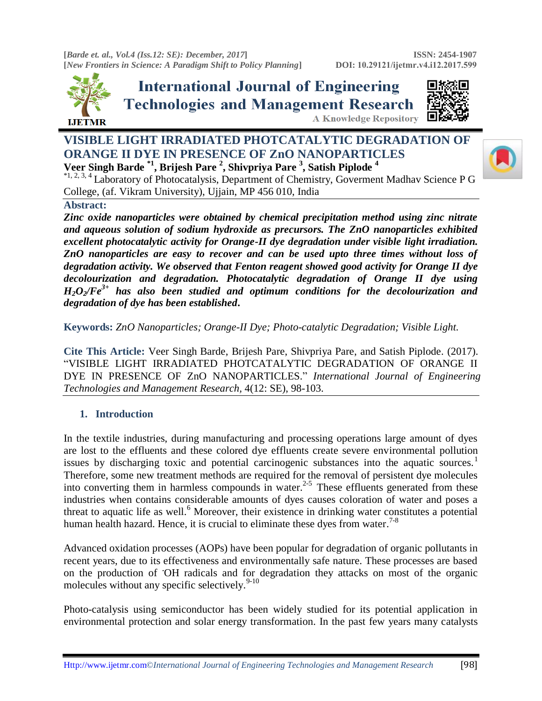

**International Journal of Engineering Technologies and Management Research A Knowledge Repository** 



# **VISIBLE LIGHT IRRADIATED PHOTCATALYTIC DEGRADATION OF ORANGE II DYE IN PRESENCE OF ZnO NANOPARTICLES Veer Singh Barde \*1 , Brijesh Pare <sup>2</sup> , Shivpriya Pare <sup>3</sup> , Satish Piplode <sup>4</sup>**



\*1, 2, 3, 4 Laboratory of Photocatalysis, Department of Chemistry, Goverment Madhav Science P G College, (af. Vikram University), Ujjain, MP 456 010, India

# **Abstract:**

*Zinc oxide nanoparticles were obtained by chemical precipitation method using zinc nitrate and aqueous solution of sodium hydroxide as precursors. The ZnO nanoparticles exhibited excellent photocatalytic activity for Orange-II dye degradation under visible light irradiation. ZnO nanoparticles are easy to recover and can be used upto three times without loss of degradation activity. We observed that Fenton reagent showed good activity for Orange II dye decolourization and degradation. Photocatalytic degradation of Orange II dye using H2O2/Fe3+ has also been studied and optimum conditions for the decolourization and degradation of dye has been established***.**

**Keywords:** *ZnO Nanoparticles; Orange-II Dye; Photo-catalytic Degradation; Visible Light.* 

**Cite This Article:** Veer Singh Barde, Brijesh Pare, Shivpriya Pare, and Satish Piplode. (2017). "VISIBLE LIGHT IRRADIATED PHOTCATALYTIC DEGRADATION OF ORANGE II DYE IN PRESENCE OF ZnO NANOPARTICLES." *International Journal of Engineering Technologies and Management Research,* 4(12: SE), 98-103.

# **1. Introduction**

In the textile industries, during manufacturing and processing operations large amount of dyes are lost to the effluents and these colored dye effluents create severe environmental pollution issues by discharging toxic and potential carcinogenic substances into the aquatic sources.<sup>1</sup> Therefore, some new treatment methods are required for the removal of persistent dye molecules into converting them in harmless compounds in water.<sup>2-5</sup> These effluents generated from these industries when contains considerable amounts of dyes causes coloration of water and poses a threat to aquatic life as well.<sup>6</sup> Moreover, their existence in drinking water constitutes a potential human health hazard. Hence, it is crucial to eliminate these dyes from water.<sup>7-8</sup>

Advanced oxidation processes (AOPs) have been popular for degradation of organic pollutants in recent years, due to its effectiveness and environmentally safe nature. These processes are based on the production of **.**OH radicals and for degradation they attacks on most of the organic molecules without any specific selectively. $9-10$ 

Photo-catalysis using semiconductor has been widely studied for its potential application in environmental protection and solar energy transformation. In the past few years many catalysts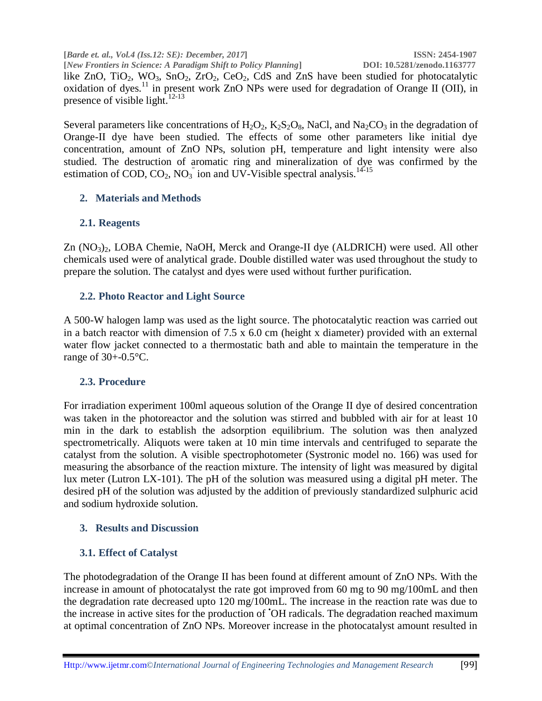**[***Barde et. al., Vol.4 (Iss.12: SE): December, 2017***] ISSN: 2454-1907 [***New Frontiers in Science: A Paradigm Shift to Policy Planning***] DOI: 10.5281/zenodo.1163777** like ZnO, TiO<sub>2</sub>, WO<sub>3</sub>, SnO<sub>2</sub>, ZrO<sub>2</sub>, CeO<sub>2</sub>, CdS and ZnS have been studied for photocatalytic oxidation of dyes.<sup>11</sup> in present work ZnO NPs were used for degradation of Orange II (OII), in presence of visible light. $12-13$ 

Several parameters like concentrations of  $H_2O_2$ ,  $K_2S_2O_8$ , NaCl, and Na<sub>2</sub>CO<sub>3</sub> in the degradation of Orange-II dye have been studied. The effects of some other parameters like initial dye concentration, amount of ZnO NPs, solution pH, temperature and light intensity were also studied. The destruction of aromatic ring and mineralization of dye was confirmed by the estimation of COD,  $CO_2$ ,  $NO_3$  ion and UV-Visible spectral analysis.<sup>14-15</sup>

# **2. Materials and Methods**

## **2.1. Reagents**

Zn (NO<sub>3</sub>)<sub>2</sub>, LOBA Chemie, NaOH, Merck and Orange-II dye (ALDRICH) were used. All other chemicals used were of analytical grade. Double distilled water was used throughout the study to prepare the solution. The catalyst and dyes were used without further purification.

## **2.2. Photo Reactor and Light Source**

A 500-W halogen lamp was used as the light source. The photocatalytic reaction was carried out in a batch reactor with dimension of 7.5 x 6.0 cm (height x diameter) provided with an external water flow jacket connected to a thermostatic bath and able to maintain the temperature in the range of  $30 + -0.5$ °C.

## **2.3. Procedure**

For irradiation experiment 100ml aqueous solution of the Orange II dye of desired concentration was taken in the photoreactor and the solution was stirred and bubbled with air for at least 10 min in the dark to establish the adsorption equilibrium. The solution was then analyzed spectrometrically. Aliquots were taken at 10 min time intervals and centrifuged to separate the catalyst from the solution. A visible spectrophotometer (Systronic model no. 166) was used for measuring the absorbance of the reaction mixture. The intensity of light was measured by digital lux meter (Lutron LX-101). The pH of the solution was measured using a digital pH meter. The desired pH of the solution was adjusted by the addition of previously standardized sulphuric acid and sodium hydroxide solution.

## **3. Results and Discussion**

## **3.1. Effect of Catalyst**

The photodegradation of the Orange II has been found at different amount of ZnO NPs. With the increase in amount of photocatalyst the rate got improved from 60 mg to 90 mg/100mL and then the degradation rate decreased upto 120 mg/100mL. The increase in the reaction rate was due to the increase in active sites for the production of •OH radicals. The degradation reached maximum at optimal concentration of ZnO NPs. Moreover increase in the photocatalyst amount resulted in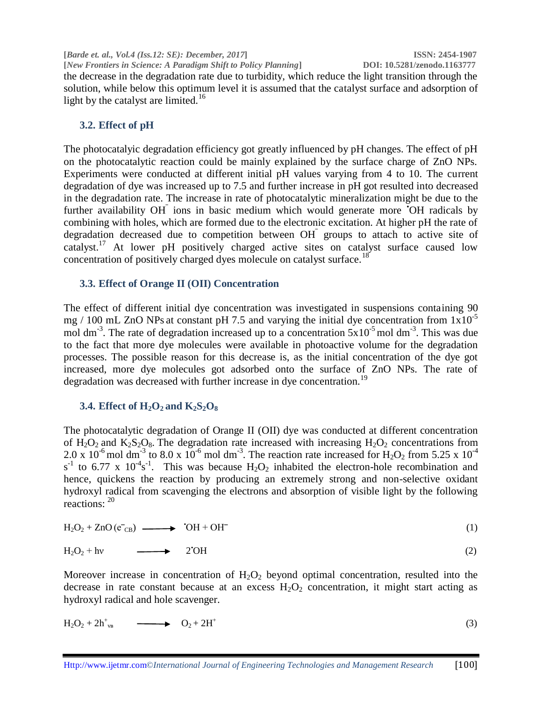**[***Barde et. al., Vol.4 (Iss.12: SE): December, 2017***] ISSN: 2454-1907 [***New Frontiers in Science: A Paradigm Shift to Policy Planning***] DOI: 10.5281/zenodo.1163777** the decrease in the degradation rate due to turbidity, which reduce the light transition through the solution, while below this optimum level it is assumed that the catalyst surface and adsorption of light by the catalyst are limited.<sup>16</sup>

#### **3.2. Effect of pH**

The photocatalyic degradation efficiency got greatly influenced by pH changes. The effect of pH on the photocatalytic reaction could be mainly explained by the surface charge of ZnO NPs. Experiments were conducted at different initial pH values varying from 4 to 10. The current degradation of dye was increased up to 7.5 and further increase in pH got resulted into decreased in the degradation rate. The increase in rate of photocatalytic mineralization might be due to the further availability OH ions in basic medium which would generate more OH radicals by combining with holes, which are formed due to the electronic excitation. At higher pH the rate of degradation decreased due to competition between OH groups to attach to active site of catalyst.<sup>17</sup> At lower pH positively charged active sites on catalyst surface caused low concentration of positively charged dyes molecule on catalyst surface.<sup>18</sup>

#### **3.3. Effect of Orange II (OII) Concentration**

The effect of different initial dye concentration was investigated in suspensions containing 90 mg / 100 mL ZnO NPs at constant pH 7.5 and varying the initial dye concentration from  $1x10^{-5}$ mol dm<sup>-3</sup>. The rate of degradation increased up to a concentration  $5x10^{-5}$  mol dm<sup>-3</sup>. This was due to the fact that more dye molecules were available in photoactive volume for the degradation processes. The possible reason for this decrease is, as the initial concentration of the dye got increased, more dye molecules got adsorbed onto the surface of ZnO NPs. The rate of degradation was decreased with further increase in dye concentration.<sup>19</sup>

#### **3.4. Effect of**  $H_2O_2$  **and**  $K_2S_2O_8$

The photocatalytic degradation of Orange II (OII) dye was conducted at different concentration of  $H_2O_2$  and  $K_2S_2O_8$ . The degradation rate increased with increasing  $H_2O_2$  concentrations from 2.0 x 10<sup>-6</sup> mol dm<sup>-3</sup> to 8.0 x 10<sup>-6</sup> mol dm<sup>-3</sup>. The reaction rate increased for H<sub>2</sub>O<sub>2</sub> from 5.25 x 10<sup>-4</sup>  $s^{-1}$  to 6.77 x 10<sup>-4</sup>s<sup>-1</sup>. This was because  $H_2O_2$  inhabited the electron-hole recombination and hence, quickens the reaction by producing an extremely strong and non-selective oxidant hydroxyl radical from scavenging the electrons and absorption of visible light by the following reactions:  $^{20}$ 

$$
H_2O_2 + ZnO(e^-_{CB}) \longrightarrow {}^{*}OH + OH^-
$$
 (1)

$$
H_2O_2 + hv \longrightarrow 2'OH \tag{2}
$$

Moreover increase in concentration of  $H_2O_2$  beyond optimal concentration, resulted into the decrease in rate constant because at an excess  $H_2O_2$  concentration, it might start acting as hydroxyl radical and hole scavenger.

$$
H_2O_2 + 2h^+_{\nu B} \longrightarrow O_2 + 2H^+ \tag{3}
$$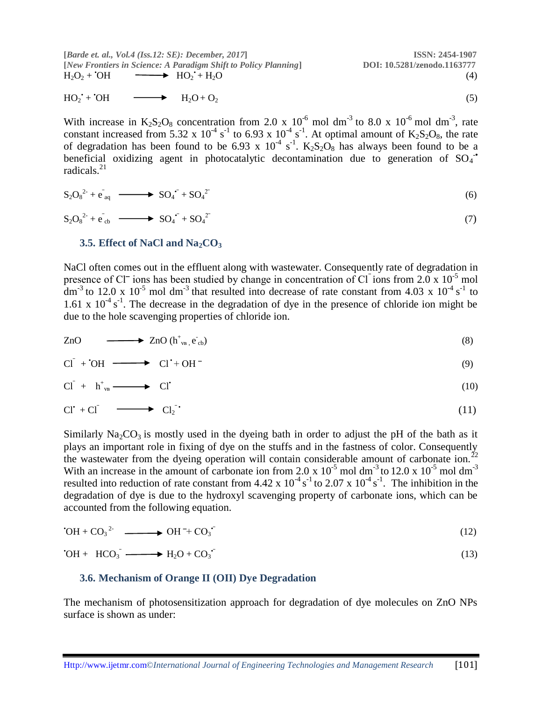| [Barde et. al., Vol.4 (Iss.12: SE): December, 2017]             | ISSN: 2454-1907             |     |
|-----------------------------------------------------------------|-----------------------------|-----|
| [New Frontiers in Science: A Paradigm Shift to Policy Planning] | DOI: 10.5281/zenodo.1163777 |     |
| H <sub>2</sub> O <sub>2</sub> + 'OH                             | $HO_2 + H_2O$               | (4) |

$$
HO_2^{\bullet} + {}^{t}OH \longrightarrow H_2O + O_2 \tag{5}
$$

With increase in  $K_2S_2O_8$  concentration from 2.0 x 10<sup>-6</sup> mol dm<sup>-3</sup> to 8.0 x 10<sup>-6</sup> mol dm<sup>-3</sup>, rate constant increased from 5.32 x  $10^{-4}$  s<sup>-1</sup> to 6.93 x  $10^{-4}$  s<sup>-1</sup>. At optimal amount of K<sub>2</sub>S<sub>2</sub>O<sub>8</sub>, the rate of degradation has been found to be 6.93 x  $10^{-4}$  s<sup>-1</sup>. K<sub>2</sub>S<sub>2</sub>O<sub>8</sub> has always been found to be a beneficial oxidizing agent in photocatalytic decontamination due to generation of SO<sub>4</sub><sup>•</sup> radicals.<sup>21</sup>

$$
S_2O_8^{2-} + e_{aq} \longrightarrow SO_4 + SO_4^{2-} \tag{6}
$$

$$
S_2O_8^{2-} + e_{cb} \longrightarrow SO_4^{2-} + SO_4^{2-} \tag{7}
$$

#### **3.5. Effect of NaCl and Na2CO<sup>3</sup>**

NaCl often comes out in the effluent along with wastewater. Consequently rate of degradation in presence of Cl<sup>-</sup> ions has been studied by change in concentration of Cl<sup>-</sup> ions from 2.0 x 10<sup>-5</sup> mol  $\text{dm}^3$  to 12.0 x 10<sup>-5</sup> mol dm<sup>-3</sup> that resulted into decrease of rate constant from 4.03 x 10<sup>-4</sup> s<sup>-1</sup> to 1.61 x  $10^{-4}$  s<sup>-1</sup>. The decrease in the degradation of dye in the presence of chloride ion might be due to the hole scavenging properties of chloride ion.

$$
\text{ZnO} \qquad \longrightarrow \text{ZnO} \ (\text{h}^+_{\text{VB}} , \text{e}^-_{\text{cb}}) \tag{8}
$$

$$
\text{CI}^{\text{-}} + \text{OH} \longrightarrow \text{CI}^{\text{-}} + \text{OH}^{\text{-}} \tag{9}
$$

$$
\text{Cl}^{\text{-}} + \text{ } h^+_{\text{VB}} \longrightarrow \text{Cl}^{\text{}} \tag{10}
$$

$$
\text{Cl}^{\cdot} + \text{Cl}^{\cdot} \longrightarrow \text{Cl}_2^{\cdot} \tag{11}
$$

Similarly Na<sub>2</sub>CO<sub>3</sub> is mostly used in the dyeing bath in order to adjust the pH of the bath as it plays an important role in fixing of dye on the stuffs and in the fastness of color. Consequently the wastewater from the dyeing operation will contain considerable amount of carbonate ion.<sup>22</sup> With an increase in the amount of carbonate ion from 2.0 x  $10^{-5}$  mol dm<sup>-3</sup> to 12.0 x  $10^{-5}$  mol dm<sup>-3</sup> resulted into reduction of rate constant from  $4.42 \times 10^{-4} \text{ s}^{-1}$  to  $2.07 \times 10^{-4} \text{ s}^{-1}$ . The inhibition in the degradation of dye is due to the hydroxyl scavenging property of carbonate ions, which can be accounted from the following equation.

$$
OH + CO32 \longrightarrow OH^- + CO3-
$$
 (12)

 $\overrightarrow{O}$ OH +  $\overrightarrow{HCO_3}$   $\longrightarrow$   $\overrightarrow{H_2O}$  +  $\overrightarrow{CO_3}$   $\overrightarrow{O}$ (13)

#### **3.6. Mechanism of Orange II (OII) Dye Degradation**

The mechanism of photosensitization approach for degradation of dye molecules on ZnO NPs surface is shown as under: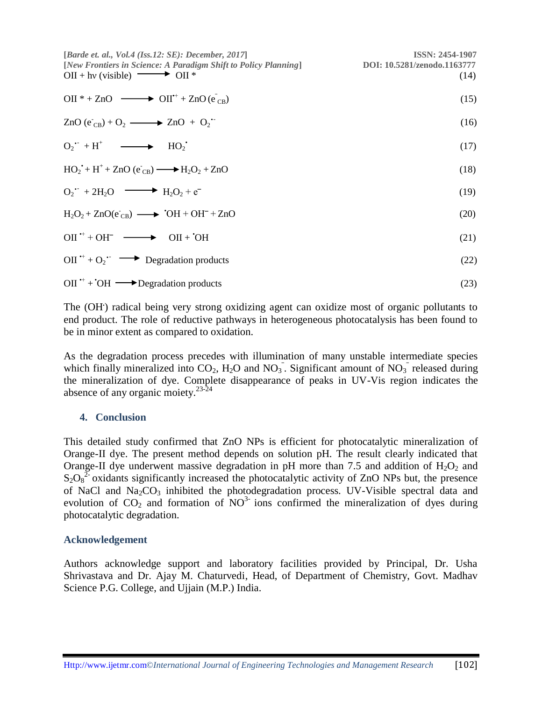| [Barde et. al., Vol.4 (Iss.12: SE): December, 2017]<br>[New Frontiers in Science: A Paradigm Shift to Policy Planning]<br>OII + hv (visible) $\longrightarrow$ OII * | <b>ISSN: 2454-1907</b><br>DOI: 10.5281/zenodo.1163777<br>(14) |
|----------------------------------------------------------------------------------------------------------------------------------------------------------------------|---------------------------------------------------------------|
| OII * + ZnO $\longrightarrow$ OII <sup>++</sup> + ZnO (e <sub>CB</sub> )                                                                                             | (15)                                                          |
| $ZnO (e_{CB}) + O_2 \longrightarrow ZnO + O_2$                                                                                                                       | (16)                                                          |
| $Q_2$ + H <sup>+</sup> $\longrightarrow$ HO <sub>2</sub> <sup>*</sup>                                                                                                | (17)                                                          |
| $HO_2^+ + H^+ + ZnO$ (e <sub>CB</sub> ) $\longrightarrow H_2O_2 + ZnO$                                                                                               | (18)                                                          |
| $O_2$ + 2H <sub>2</sub> O $\longrightarrow$ H <sub>2</sub> O <sub>2</sub> + e <sup>-</sup>                                                                           | (19)                                                          |
| $H_2O_2 + ZnO(e_{CB}) \longrightarrow COH + OH^- + ZnO$                                                                                                              | (20)                                                          |
| $O(1 + O)$ OII + OH                                                                                                                                                  | (21)                                                          |
| OII <sup>++</sup> + O <sub>2</sub> <sup>++</sup> Degradation products                                                                                                | (22)                                                          |
| $OH^+ + OH \longrightarrow$ Degradation products                                                                                                                     | (23)                                                          |

The (OH<sup>r</sup>) radical being very strong oxidizing agent can oxidize most of organic pollutants to end product. The role of reductive pathways in heterogeneous photocatalysis has been found to be in minor extent as compared to oxidation.

As the degradation process precedes with illumination of many unstable intermediate species which finally mineralized into  $CO_2$ , H<sub>2</sub>O and NO<sub>3</sub>. Significant amount of NO<sub>3</sub> released during the mineralization of dye. Complete disappearance of peaks in UV-Vis region indicates the absence of any organic moiety. $23-24$ 

#### **4. Conclusion**

This detailed study confirmed that ZnO NPs is efficient for photocatalytic mineralization of Orange-II dye. The present method depends on solution pH. The result clearly indicated that Orange-II dye underwent massive degradation in pH more than 7.5 and addition of  $H_2O_2$  and  $S_2O_8^2$  oxidants significantly increased the photocatalytic activity of ZnO NPs but, the presence of NaCl and Na<sub>2</sub>CO<sub>3</sub> inhibited the photodegradation process. UV-Visible spectral data and evolution of  $CO<sub>2</sub>$  and formation of  $NO<sup>3</sup>$  ions confirmed the mineralization of dyes during photocatalytic degradation.

## **Acknowledgement**

Authors acknowledge support and laboratory facilities provided by Principal, Dr. Usha Shrivastava and Dr. Ajay M. Chaturvedi, Head, of Department of Chemistry, Govt. Madhav Science P.G. College, and Ujjain (M.P.) India.